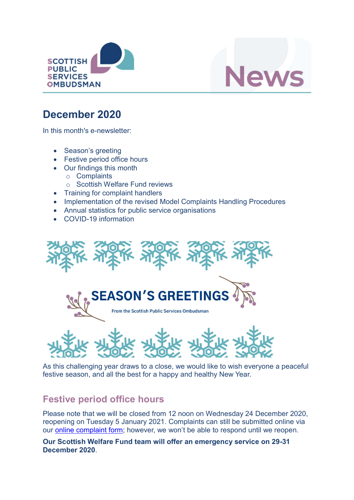



# December 2020

In this month's e-newsletter:

- Season's greeting
- Festive period office hours
- Our findings this month
	- o Complaints
	- o Scottish Welfare Fund reviews
- Training for complaint handlers
- Implementation of the revised Model Complaints Handling Procedures
- Annual statistics for public service organisations
- COVID-19 information



As this challenging year draws to a close, we would like to wish everyone a peaceful festive season, and all the best for a happy and healthy New Year.

## Festive period office hours

Please note that we will be closed from 12 noon on Wednesday 24 December 2020, reopening on Tuesday 5 January 2021. Complaints can still be submitted online via our online complaint form; however, we won't be able to respond until we reopen.

Our Scottish Welfare Fund team will offer an emergency service on 29-31 December 2020.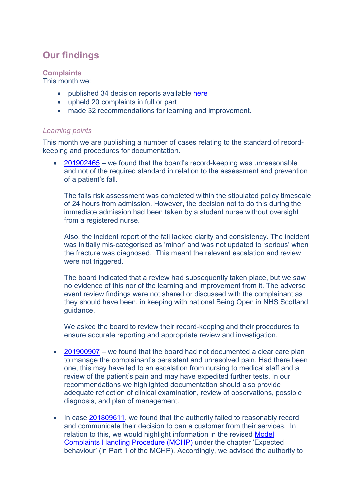# Our findings

#### **Complaints**

This month we:

- published 34 decision reports available here
- upheld 20 complaints in full or part
- made 32 recommendations for learning and improvement.

#### Learning points

This month we are publishing a number of cases relating to the standard of recordkeeping and procedures for documentation.

 201902465 – we found that the board's record-keeping was unreasonable and not of the required standard in relation to the assessment and prevention of a patient's fall.

The falls risk assessment was completed within the stipulated policy timescale of 24 hours from admission. However, the decision not to do this during the immediate admission had been taken by a student nurse without oversight from a registered nurse.

Also, the incident report of the fall lacked clarity and consistency. The incident was initially mis-categorised as 'minor' and was not updated to 'serious' when the fracture was diagnosed. This meant the relevant escalation and review were not triggered.

The board indicated that a review had subsequently taken place, but we saw no evidence of this nor of the learning and improvement from it. The adverse event review findings were not shared or discussed with the complainant as they should have been, in keeping with national Being Open in NHS Scotland guidance.

We asked the board to review their record-keeping and their procedures to ensure accurate reporting and appropriate review and investigation.

- $\bullet$  201900907 we found that the board had not documented a clear care plan to manage the complainant's persistent and unresolved pain. Had there been one, this may have led to an escalation from nursing to medical staff and a review of the patient's pain and may have expedited further tests. In our recommendations we highlighted documentation should also provide adequate reflection of clinical examination, review of observations, possible diagnosis, and plan of management.
- In case 201809611, we found that the authority failed to reasonably record and communicate their decision to ban a customer from their services. In relation to this, we would highlight information in the revised Model Complaints Handling Procedure (MCHP) under the chapter 'Expected behaviour' (in Part 1 of the MCHP). Accordingly, we advised the authority to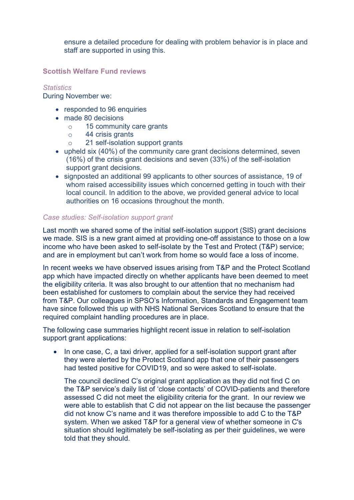ensure a detailed procedure for dealing with problem behavior is in place and staff are supported in using this.

Scottish Welfare Fund reviews

#### **Statistics**

During November we:

- responded to 96 enquiries
- made 80 decisions
	- o 15 community care grants
	- o 44 crisis grants
	- o 21 self-isolation support grants
- upheld six (40%) of the community care grant decisions determined, seven (16%) of the crisis grant decisions and seven (33%) of the self-isolation support grant decisions.
- signposted an additional 99 applicants to other sources of assistance, 19 of whom raised accessibility issues which concerned getting in touch with their local council. In addition to the above, we provided general advice to local authorities on 16 occasions throughout the month.

#### Case studies: Self-isolation support grant

Last month we shared some of the initial self-isolation support (SIS) grant decisions we made. SIS is a new grant aimed at providing one-off assistance to those on a low income who have been asked to self-isolate by the Test and Protect (T&P) service; and are in employment but can't work from home so would face a loss of income.

In recent weeks we have observed issues arising from T&P and the Protect Scotland app which have impacted directly on whether applicants have been deemed to meet the eligibility criteria. It was also brought to our attention that no mechanism had been established for customers to complain about the service they had received from T&P. Our colleagues in SPSO's Information, Standards and Engagement team have since followed this up with NHS National Services Scotland to ensure that the required complaint handling procedures are in place.

The following case summaries highlight recent issue in relation to self-isolation support grant applications:

 In one case, C, a taxi driver, applied for a self-isolation support grant after they were alerted by the Protect Scotland app that one of their passengers had tested positive for COVID19, and so were asked to self-isolate.

The council declined C's original grant application as they did not find C on the T&P service's daily list of 'close contacts' of COVID-patients and therefore assessed C did not meet the eligibility criteria for the grant. In our review we were able to establish that C did not appear on the list because the passenger did not know C's name and it was therefore impossible to add C to the T&P system. When we asked T&P for a general view of whether someone in C's situation should legitimately be self-isolating as per their guidelines, we were told that they should.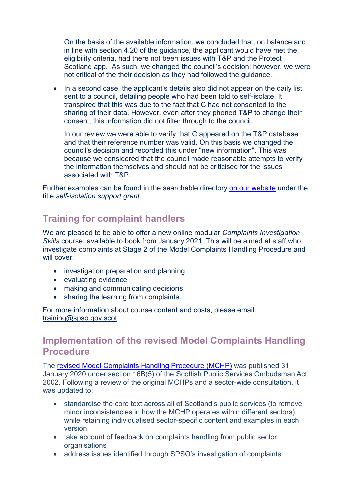On the basis of the available information, we concluded that, on balance and in line with section 4.20 of the guidance, the applicant would have met the eligibility criteria, had there not been issues with T&P and the Protect Scotland app. As such, we changed the council's decision; however, we were not critical of the their decision as they had followed the guidance.

• In a second case, the applicant's details also did not appear on the daily list sent to a council, detailing people who had been told to self-isolate. It transpired that this was due to the fact that C had not consented to the sharing of their data. However, even after they phoned T&P to change their consent, this information did not filter through to the council.

In our review we were able to verify that C appeared on the T&P database and that their reference number was valid. On this basis we changed the council's decision and recorded this under "new information". This was because we considered that the council made reasonable attempts to verify the information themselves and should not be criticised for the issues associated with T&P.

Further examples can be found in the searchable directory on our website under the title self-isolation support grant.

# Training for complaint handlers

We are pleased to be able to offer a new online modular Complaints Investigation Skills course, available to book from January 2021. This will be aimed at staff who investigate complaints at Stage 2 of the Model Complaints Handling Procedure and will cover:

- investigation preparation and planning
- evaluating evidence
- making and communicating decisions
- sharing the learning from complaints.

For more information about course content and costs, please email: training@spso.gov.scot

### Implementation of the revised Model Complaints Handling **Procedure**

The revised Model Complaints Handling Procedure (MCHP) was published 31 January 2020 under section 16B(5) of the Scottish Public Services Ombudsman Act 2002. Following a review of the original MCHPs and a sector-wide consultation, it was updated to:

- standardise the core text across all of Scotland's public services (to remove minor inconsistencies in how the MCHP operates within different sectors), while retaining individualised sector-specific content and examples in each version
- take account of feedback on complaints handling from public sector **organisations**
- address issues identified through SPSO's investigation of complaints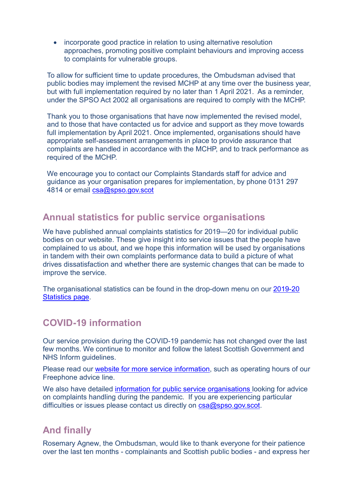• incorporate good practice in relation to using alternative resolution approaches, promoting positive complaint behaviours and improving access to complaints for vulnerable groups.

To allow for sufficient time to update procedures, the Ombudsman advised that public bodies may implement the revised MCHP at any time over the business year, but with full implementation required by no later than 1 April 2021. As a reminder, under the SPSO Act 2002 all organisations are required to comply with the MCHP.

Thank you to those organisations that have now implemented the revised model, and to those that have contacted us for advice and support as they move towards full implementation by April 2021. Once implemented, organisations should have appropriate self-assessment arrangements in place to provide assurance that complaints are handled in accordance with the MCHP, and to track performance as required of the MCHP.

We encourage you to contact our Complaints Standards staff for advice and guidance as your organisation prepares for implementation, by phone 0131 297 4814 or email csa@spso.gov.scot

### Annual statistics for public service organisations

We have published annual complaints statistics for 2019—20 for individual public bodies on our website. These give insight into service issues that the people have complained to us about, and we hope this information will be used by organisations in tandem with their own complaints performance data to build a picture of what drives dissatisfaction and whether there are systemic changes that can be made to improve the service.

The organisational statistics can be found in the drop-down menu on our 2019-20 Statistics page.

## COVID-19 information

Our service provision during the COVID-19 pandemic has not changed over the last few months. We continue to monitor and follow the latest Scottish Government and NHS Inform guidelines.

Please read our website for more service information, such as operating hours of our Freephone advice line.

We also have detailed information for public service organisations looking for advice on complaints handling during the pandemic. If you are experiencing particular difficulties or issues please contact us directly on csa@spso.gov.scot.

# And finally

Rosemary Agnew, the Ombudsman, would like to thank everyone for their patience over the last ten months - complainants and Scottish public bodies - and express her